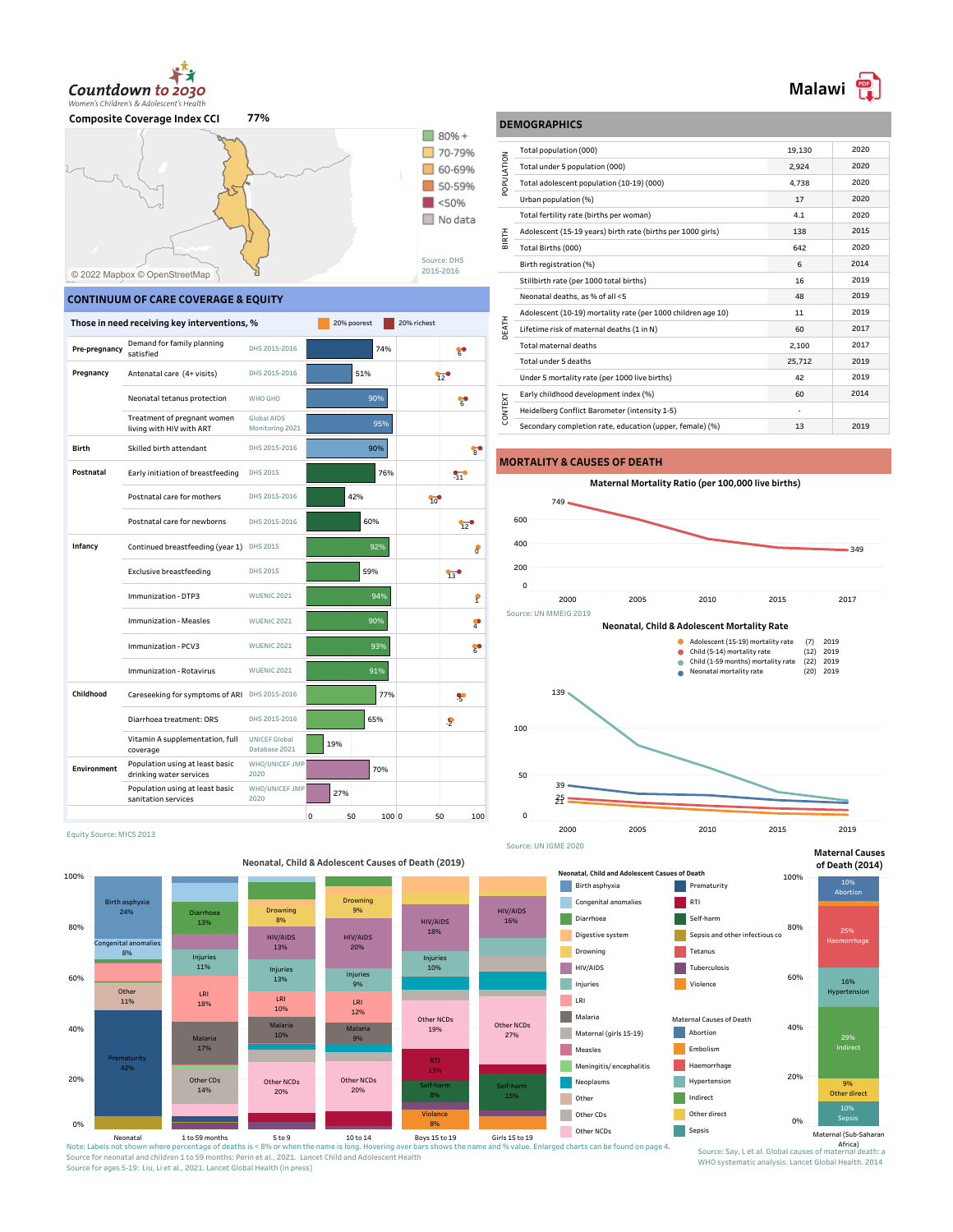

**Composite Coverage Index CCI 77%**



## **CONTINUUM OF CARE COVERAGE & EQUITY**

60%

80%

.<br>Conge 8%

Other 11%

Birth asphyxia 24%

Equity Source: MICS 2013

Diarrhoea 13%

Injuries 11%

LRI

100%

|               | Those in need receiving key interventions, %               |                                       |     |     | 20% poorest<br>20% richest |                 |                        |
|---------------|------------------------------------------------------------|---------------------------------------|-----|-----|----------------------------|-----------------|------------------------|
| Pre-pregnancy | Demand for family planning<br>satisfied                    | DHS 2015-2016                         |     |     | 74%                        |                 | č.                     |
| Pregnancy     | Antenatal care (4+ visits)                                 | DHS 2015-2016                         |     | 51% |                            |                 | 12                     |
|               | Neonatal tetanus protection                                | WHO GHO                               |     |     | 90%                        |                 | ႜႜ                     |
|               | Treatment of pregnant women<br>living with HIV with ART    | Global AIDS<br>Monitoring 2021        |     |     | 95%                        |                 |                        |
| Birth         | Skilled birth attendant                                    | DHS 2015-2016                         |     |     | 90%                        |                 | $\mathbf{g}^{\dagger}$ |
| Postnatal     | Early initiation of breastfeeding                          | DHS 2015                              |     |     | 76%                        |                 | 97                     |
|               | Postnatal care for mothers                                 | DHS 2015-2016                         |     | 42% |                            | $\overline{10}$ |                        |
|               | Postnatal care for newborns                                | DHS 2015-2016                         |     |     | 60%                        |                 | 52                     |
| Infancy       | Continued breastfeeding (year 1)                           | DHS 2015                              |     |     | 92%                        |                 | 8                      |
|               | Exclusive breastfeeding                                    | DHS 2015                              |     |     | 59%                        |                 | 130                    |
|               | Immunization - DTP3                                        | <b>WUENIC 2021</b>                    |     |     | 94%                        |                 | P                      |
|               | Immunization - Measles                                     | <b>WUENIC 2021</b>                    |     |     | 90%                        |                 | T                      |
|               | Immunization - PCV3                                        | <b>WUENIC 2021</b>                    |     |     | 93%                        |                 | $\frac{1}{6}$          |
|               | Immunization - Rotavirus                                   | <b>WUENIC 2021</b>                    |     |     | 91%                        |                 |                        |
| Childhood     | Careseeking for symptoms of ARI DHS 2015-2016              |                                       |     |     | 77%                        |                 | X                      |
|               | Diarrhoea treatment: ORS                                   | DHS 2015-2016                         |     |     | 65%                        |                 | S                      |
|               | Vitamin A supplementation, full<br>coverage                | <b>UNICEF Global</b><br>Database 2021 | 19% |     |                            |                 |                        |
| Environment   | Population using at least basic<br>drinking water services | WHO/UNICEF JMP<br>2020                |     |     | 70%                        |                 |                        |
|               | Population using at least basic<br>sanitation services     | WHO/UNICEF JMP<br>2020                |     | 27% |                            |                 |                        |
|               |                                                            |                                       | 0   | 50  | 100 0                      | 50              | 100                    |

Drowning 8%

HIV/AIDS 13%

Injur 13%

 $18\%$  LRI  $\frac{LN}{1000}$  LRI LRI 10%

## **DEMOGRAPHICS**

| 19,130 | 2020 |
|--------|------|
| 2,924  | 2020 |
| 4.738  | 2020 |
| 17     | 2020 |
| 4.1    | 2020 |
| 138    | 2015 |
| 642    | 2020 |
| 6      | 2014 |
| 16     | 2019 |
| 48     | 2019 |
| 11     | 2019 |
| 60     | 2017 |
| 2.100  | 2017 |
| 25,712 | 2019 |
| 42     | 2019 |
| 60     | 2014 |
|        |      |
| 13     | 2019 |
|        |      |

## **MORTALITY & CAUSES OF DEATH**





**Maternal Causes**



# Source for neonatal and children 1 to 59 months: Perin et al., 2021. Lancet Child and Adolescent Health Source for ages 5-19: Liu, Li et al., 2021. Lancet Global Health (in press)

WHO systematic analysis. Lancet Global Health. 2014

# **Neonatal, Child & Adolescent Causes of Death (2019)**

Drowning 9%

HIV/AIDS 20%

Injuries 9%

HIV/AIDS 18%

Injuries 10%

HIV/AIDS 16%

 $12\%$ Neonatal 1 to 59 months<br>Note: Labels not shown where percentage of deaths is < 3% or when the name is long. Hovering over bars shows the name and % value. Enlarged charts can be found on page 4. 0% 20% 40% **Prematurity** 42% Other NCDs 27% Other NCDs 19% Other NCDs 20% Other NCDs 20% Other CDs 14% Self-harm 8% Self-harm 15% **Violence** 8% Malaria 10% Malaria Malaria 9% 17%<br>17% 13%

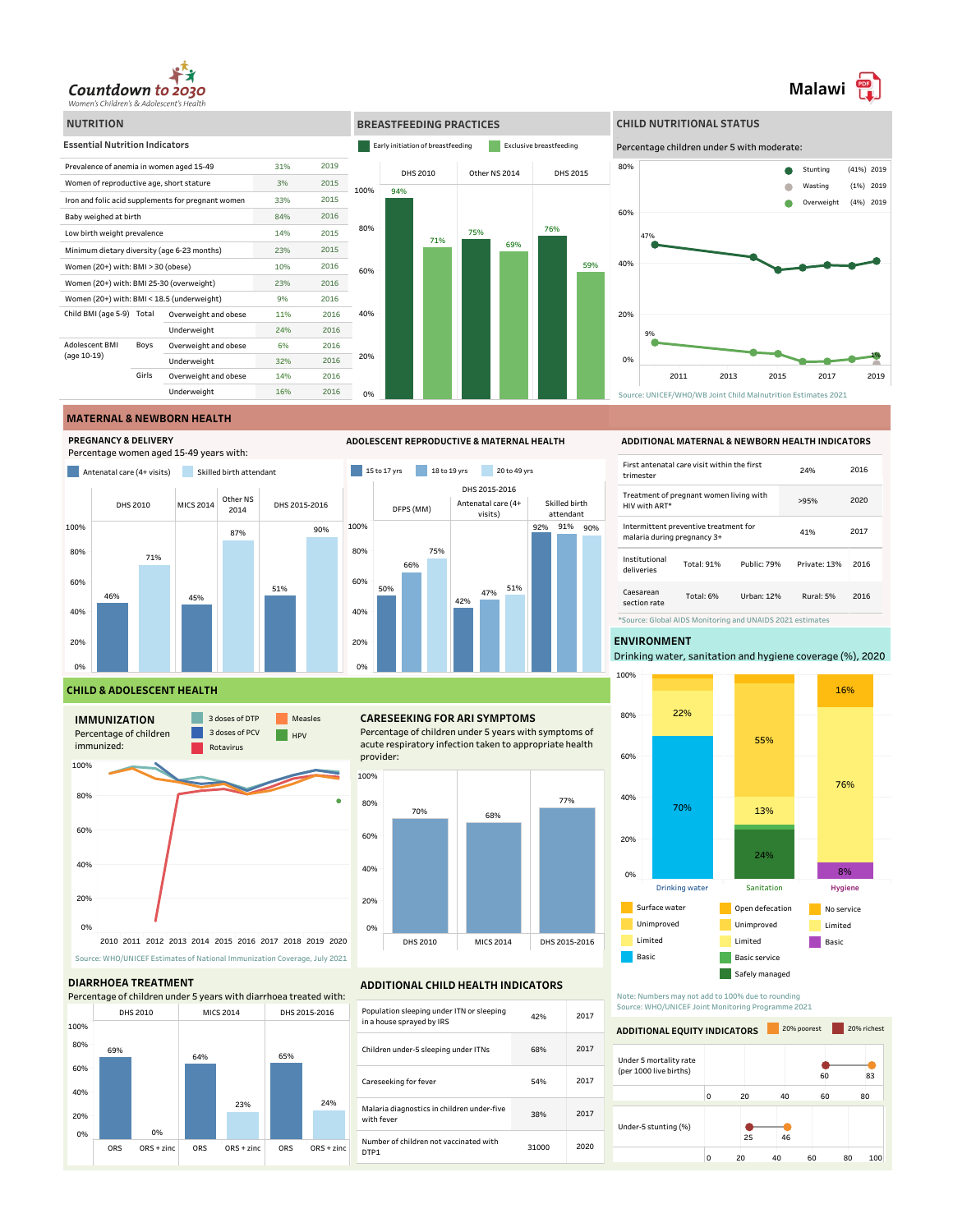





**Malawi** 

## **MATERNAL & NEWBORN HEALTH**

**PREGNANCY & DELIVERY**









## **CHILD & ADOLESCENT HEALTH**



## **DIARRHOEA TREATMENT**



## **CARESEEKING FOR ARI SYMPTOMS**

Percentage of children under 5 years with symptoms of acute respiratory infection taken to appropriate health provider:



### **ADDITIONAL CHILD HEALTH INDICATORS**

| Population sleeping under ITN or sleeping<br>in a house sprayed by IRS | 42%   | 2017 |
|------------------------------------------------------------------------|-------|------|
| Children under-5 sleeping under ITNs                                   | 68%   | 2017 |
| Careseeking for fever                                                  | 54%   | 2017 |
| Malaria diagnostics in children under-five<br>with fever               | 38%   | 2017 |
| Number of children not vaccinated with<br>DTP <sub>1</sub>             | 31000 | 2020 |

### **ADDITIONAL MATERNAL & NEWBORN HEALTH INDICATORS**

| First antenatal care visit within the first<br>trimester             |  |  | 24%          | 2016 |
|----------------------------------------------------------------------|--|--|--------------|------|
| Treatment of pregnant women living with<br>HIV with ART*             |  |  | >95%         | 2020 |
| Intermittent preventive treatment for<br>malaria during pregnancy 3+ |  |  | 41%          | 2017 |
| Institutional<br>Total: 91%<br>Public: 79%<br>deliveries             |  |  | Private: 13% | 2016 |
| Caesarean<br>Total: 6%<br>Urban: 12%<br>section rate                 |  |  | Rural: 5%    | 2016 |
| *Source: Global AIDS Monitoring and UNAIDS 2021 estimates            |  |  |              |      |

## **ENVIRONMENT**

Drinking water, sanitation and hygiene coverage (%), 2020



Note: Numbers may not add to 100% due to rounding Source: WHO/UNICEF Joint Monitoring Programme 2021

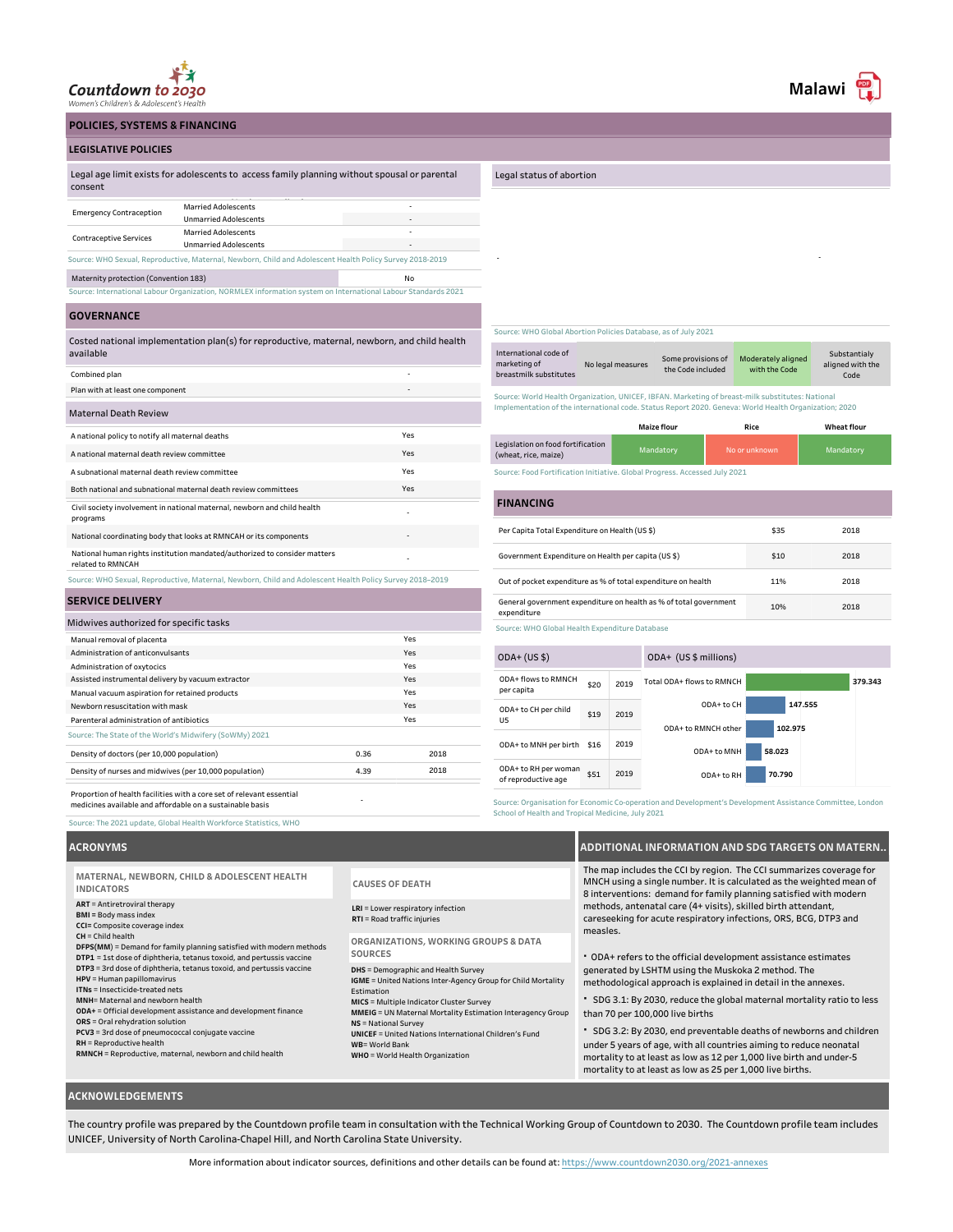

**LEGISLATIVE POLICIES**

**POLICIES, SYSTEMS & FINANCING**

### Legal status of abortion

|         | Legal age limit exists for adolescents to access family planning without spousal or parental |
|---------|----------------------------------------------------------------------------------------------|
| consent |                                                                                              |
|         |                                                                                              |

| <b>Emergency Contraception</b>                                                                           | <b>Married Adolescents</b>   | - |  |  |  |
|----------------------------------------------------------------------------------------------------------|------------------------------|---|--|--|--|
|                                                                                                          | <b>Unmarried Adolescents</b> |   |  |  |  |
|                                                                                                          | <b>Married Adolescents</b>   | - |  |  |  |
| <b>Contraceptive Services</b><br><b>Unmarried Adolescents</b>                                            |                              |   |  |  |  |
| Source: WHO Sexual, Reproductive, Maternal, Newborn, Child and Adolescent Health Policy Survey 2018-2019 |                              |   |  |  |  |
| Maternity protection (Convention 183)<br>No                                                              |                              |   |  |  |  |
| .                                                                                                        |                              |   |  |  |  |

Source: International Labour Organization, NORMLEX information system on International Labour Standards 2021

# **GOVERNANCE**

Costed national implementation plan(s) for reproductive, maternal, newborn, and child health available

| Combined plan                                                                                            | ۰                        |
|----------------------------------------------------------------------------------------------------------|--------------------------|
| Plan with at least one component                                                                         | $\overline{\phantom{0}}$ |
| <b>Maternal Death Review</b>                                                                             |                          |
| A national policy to notify all maternal deaths                                                          | Yes                      |
| A national maternal death review committee                                                               | Yes                      |
| A subnational maternal death review committee                                                            | Yes                      |
| Both national and subnational maternal death review committees                                           | Yes                      |
| Civil society involvement in national maternal, newborn and child health<br>programs                     | ٠                        |
| National coordinating body that looks at RMNCAH or its components                                        | ٠                        |
| National human rights institution mandated/authorized to consider matters<br>related to RMNCAH           | ٠                        |
| Source: WHO Sexual, Reproductive, Maternal, Newborn, Child and Adolescent Health Policy Survey 2018-2019 |                          |

## **SERVICE DELIVERY**

| Midwives authorized for specific tasks                                                                                             |      |      |  |
|------------------------------------------------------------------------------------------------------------------------------------|------|------|--|
| Manual removal of placenta                                                                                                         |      | Yes  |  |
| Administration of anticonvulsants                                                                                                  |      | Yes  |  |
| Administration of oxytocics                                                                                                        |      | Yes  |  |
| Assisted instrumental delivery by vacuum extractor                                                                                 |      | Yes  |  |
| Yes<br>Manual vacuum aspiration for retained products                                                                              |      |      |  |
| Yes<br>Newborn resuscitation with mask                                                                                             |      |      |  |
| Parenteral administration of antibiotics                                                                                           |      | Yes  |  |
| Source: The State of the World's Midwifery (SoWMy) 2021                                                                            |      |      |  |
| Density of doctors (per 10,000 population)                                                                                         | 0.36 | 2018 |  |
| Density of nurses and midwives (per 10,000 population)                                                                             | 4.39 | 2018 |  |
| Proportion of health facilities with a core set of relevant essential<br>medicines available and affordable on a sustainable basis |      |      |  |

- -

Source: WHO Global Abortion Policies Database, as of July 2021

| International code of<br>marketing of<br>breastmilk substitutes | No legal measures | Some provisions of<br>the Code included | Moderately aligned<br>with the Code | Substantialy<br>aligned with the<br>Code |
|-----------------------------------------------------------------|-------------------|-----------------------------------------|-------------------------------------|------------------------------------------|
|-----------------------------------------------------------------|-------------------|-----------------------------------------|-------------------------------------|------------------------------------------|

Source: World Health Organization, UNICEF, IBFAN. Marketing of breast-milk substitutes: National Implementation of the international code. Status Report 2020. Geneva: World Health Organization; 2020

|                                                           | <b>Maize flour</b> | Rice          | <b>Wheat flour</b> |
|-----------------------------------------------------------|--------------------|---------------|--------------------|
| Legislation on food fortification<br>(wheat, rice, maize) | Mandatory          | No or unknown | Mandatory          |

ource: Food Fortification Initiative. Global Progress. Accessed July 2021

### No data to display Per Capita Total Expenditure on Health (US \$) \$35 Government Expenditure on Health per capita (US \$) \$10 Out of pocket expenditure as % of total expenditure on health 11% General government expenditure on health as % of total government expenditure 10% 2018 2018 2018 2018 **FINANCING**

Source: WHO Global Health Expenditure Database

| $ODA+ (US $)$                               |      |                     | ODA+ (US \$ millions)     |         |
|---------------------------------------------|------|---------------------|---------------------------|---------|
| ODA+ flows to RMNCH<br>per capita           | \$20 | 2019                | Total ODA+ flows to RMNCH | 379.343 |
| ODA+ to CH per child<br>U5                  | \$19 | 2019                | ODA+ to CH                | 147.555 |
|                                             |      | ODA+ to RMNCH other | 102.975                   |         |
| ODA+ to MNH per birth                       | \$16 | 2019                | ODA+ to MNH               | 58.023  |
| ODA+ to RH per woman<br>of reproductive age | \$51 | 2019                | ODA+ to RH                | 70.790  |
|                                             |      |                     |                           |         |

Source: Organisation for Economic Co-operation and Development's Development Assistance Committee, London School of Health and Tropical Medicine, July 2021

## **ACRONYMS**

Source: The 2021 update, Global Health Workforce Statistics, WHO

**ART** = Antiretroviral therapy **BMI =** Body mass index **CCI=** Composite coverage index **CH** = Child health **DFPS(MM**) = Demand for family planning satisfied with modern methods **DTP1** = 1st dose of diphtheria, tetanus toxoid, and pertussis vaccine **DTP3** = 3rd dose of diphtheria, tetanus toxoid, and pertussis vaccine **HPV** = Human papillomavirus **ITNs** = Insecticide-treated nets **MNH**= Maternal and newborn health **ODA+** = Official development assistance and development finance **ORS** = Oral rehydration solution **PCV3** = 3rd dose of pneumococcal conjugate vaccine **RH** = Reproductive health **RMNCH** = Reproductive, maternal, newborn and child health Estimation **NS** = National Survey **WB**= World Bank **MATERNAL, NEWBORN, CHILD & ADOLESCENT HEALTH INDICATORS SOURCES**

### **CAUSES OF DEATH**

**LRI** = Lower respiratory infection **RTI** = Road traffic injuries

**ORGANIZATIONS, WORKING GROUPS & DATA**

**DHS** = Demographic and Health Survey

**IGME** = United Nations Inter-Agency Group for Child Mortality

**MICS** = Multiple Indicator Cluster Survey **MMEIG** = UN Maternal Mortality Estimation Interagency Group

**UNICEF** = United Nations International Children's Fund

**WHO** = World Health Organization

## **ADDITIONAL INFORMATION AND SDG TARGETS ON MATERN..**

The map includes the CCI by region. The CCI summarizes coverage for MNCH using a single number. It is calculated as the weighted mean of 8 interventions: demand for family planning satisfied with modern methods, antenatal care (4+ visits), skilled birth attendant, careseeking for acute respiratory infections, ORS, BCG, DTP3 and measles.

**·** ODA+ refers to the official development assistance estimates generated by LSHTM using the Muskoka 2 method. The methodological approach is explained in detail in the annexes.

**·** SDG 3.1: By 2030, reduce the global maternal mortality ratio to less than 70 per 100,000 live births

**·** SDG 3.2: By 2030, end preventable deaths of newborns and children under 5 years of age, with all countries aiming to reduce neonatal mortality to at least as low as 12 per 1,000 live birth and under-5 mortality to at least as low as 25 per 1,000 live births.

## **ACKNOWLEDGEMENTS**

The country profile was prepared by the Countdown profile team in consultation with the Technical Working Group of Countdown to 2030. The Countdown profile team includes UNICEF, University of North Carolina-Chapel Hill, and North Carolina State University.